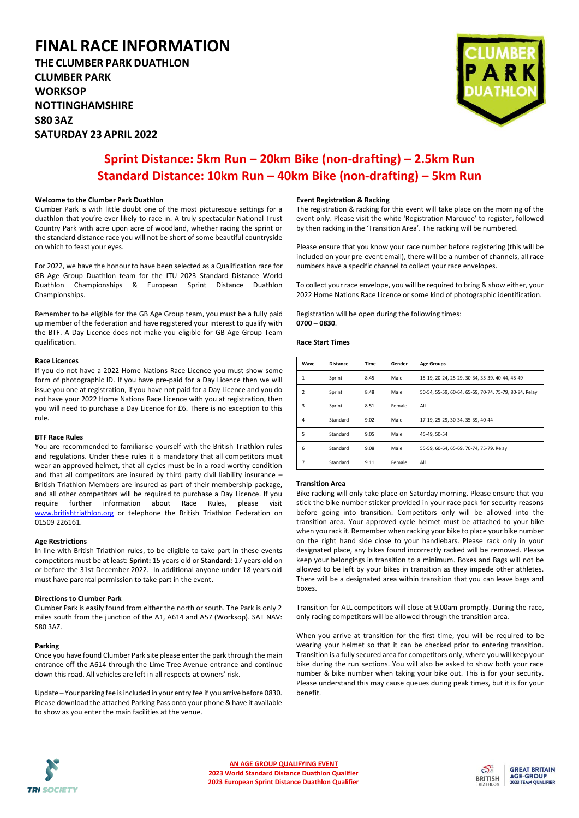# **FINAL RACE INFORMATION**

**THE CLUMBER PARK DUATHLON CLUMBER PARK WORKSOP NOTTINGHAMSHIRE S80 3AZ SATURDAY 23 APRIL 2022**



# **Sprint Distance: 5km Run – 20km Bike (non-drafting) – 2.5km Run Standard Distance: 10km Run – 40km Bike (non-drafting) – 5km Run**

# **Welcome to the Clumber Park Duathlon**

Clumber Park is with little doubt one of the most picturesque settings for a duathlon that you're ever likely to race in. A truly spectacular National Trust Country Park with acre upon acre of woodland, whether racing the sprint or the standard distance race you will not be short of some beautiful countryside on which to feast your eyes.

For 2022, we have the honour to have been selected as a Qualification race for GB Age Group Duathlon team for the ITU 2023 Standard Distance World Duathlon Championships & European Sprint Distance Duathlon Championships.

Remember to be eligible for the GB Age Group team, you must be a fully paid up member of the federation and have registered your interest to qualify with the BTF. A Day Licence does not make you eligible for GB Age Group Team qualification.

#### **Race Licences**

If you do not have a 2022 Home Nations Race Licence you must show some form of photographic ID. If you have pre-paid for a Day Licence then we will issue you one at registration, if you have not paid for a Day Licence and you do not have your 2022 Home Nations Race Licence with you at registration, then you will need to purchase a Day Licence for £6. There is no exception to this rule.

#### **BTF Race Rules**

You are recommended to familiarise yourself with the British Triathlon rules and regulations. Under these rules it is mandatory that all competitors must wear an approved helmet, that all cycles must be in a road worthy condition and that all competitors are insured by third party civil liability insurance – British Triathlon Members are insured as part of their membership package, and all other competitors will be required to purchase a Day Licence. If you require further information about Race Rules, please visit [www.britishtriathlon.org](http://www.britishtriathlon.org/) or telephone the British Triathlon Federation on 01509 226161.

# **Age Restrictions**

In line with British Triathlon rules, to be eligible to take part in these events competitors must be at least: **Sprint:** 15 years old or **Standard:** 17 years old on or before the 31st December 2022. In additional anyone under 18 years old must have parental permission to take part in the event.

# **Directions to Clumber Park**

Clumber Park is easily found from either the north or south. The Park is only 2 miles south from the junction of the A1, A614 and A57 (Worksop). SAT NAV: S80 3AZ.

#### **Parking**

Once you have found Clumber Park site please enter the park through the main entrance off the A614 through the Lime Tree Avenue entrance and continue down this road. All vehicles are left in all respects at owners' risk.

Update – Your parking fee is included in your entry fee if you arrive before 0830. Please download the attached Parking Pass onto your phone & have it available to show as you enter the main facilities at the venue.

# **Event Registration & Racking**

The registration & racking for this event will take place on the morning of the event only. Please visit the white 'Registration Marquee' to register, followed by then racking in the 'Transition Area'. The racking will be numbered.

Please ensure that you know your race number before registering (this will be included on your pre-event email), there will be a number of channels, all race numbers have a specific channel to collect your race envelopes.

To collect your race envelope, you will be required to bring & show either, your 2022 Home Nations Race Licence or some kind of photographic identification.

Registration will be open during the following times: **0700 – 0830**.

## **Race Start Times**

| Wave          | <b>Distance</b> | Time | Gender | <b>Age Groups</b>                                      |
|---------------|-----------------|------|--------|--------------------------------------------------------|
| 1             | Sprint          | 8.45 | Male   | 15-19, 20-24, 25-29, 30-34, 35-39, 40-44, 45-49        |
| $\mathcal{P}$ | Sprint          | 8.48 | Male   | 50-54, 55-59, 60-64, 65-69, 70-74, 75-79, 80-84, Relay |
| 3             | Sprint          | 8.51 | Female | All                                                    |
| 4             | Standard        | 9.02 | Male   | 17-19, 25-29, 30-34, 35-39, 40-44                      |
| 5             | Standard        | 9.05 | Male   | 45-49.50-54                                            |
| 6             | Standard        | 9.08 | Male   | 55-59, 60-64, 65-69, 70-74, 75-79, Relay               |
| 7             | Standard        | 9.11 | Female | All                                                    |

## **Transition Area**

Bike racking will only take place on Saturday morning. Please ensure that you stick the bike number sticker provided in your race pack for security reasons before going into transition. Competitors only will be allowed into the transition area. Your approved cycle helmet must be attached to your bike when you rack it. Remember when racking your bike to place your bike number on the right hand side close to your handlebars. Please rack only in your designated place, any bikes found incorrectly racked will be removed. Please keep your belongings in transition to a minimum. Boxes and Bags will not be allowed to be left by your bikes in transition as they impede other athletes. There will be a designated area within transition that you can leave bags and boxes.

Transition for ALL competitors will close at 9.00am promptly. During the race, only racing competitors will be allowed through the transition area.

When you arrive at transition for the first time, you will be required to be wearing your helmet so that it can be checked prior to entering transition. Transition is a fully secured area for competitors only, where you will keep your bike during the run sections. You will also be asked to show both your race number & bike number when taking your bike out. This is for your security. Please understand this may cause queues during peak times, but it is for your benefit.



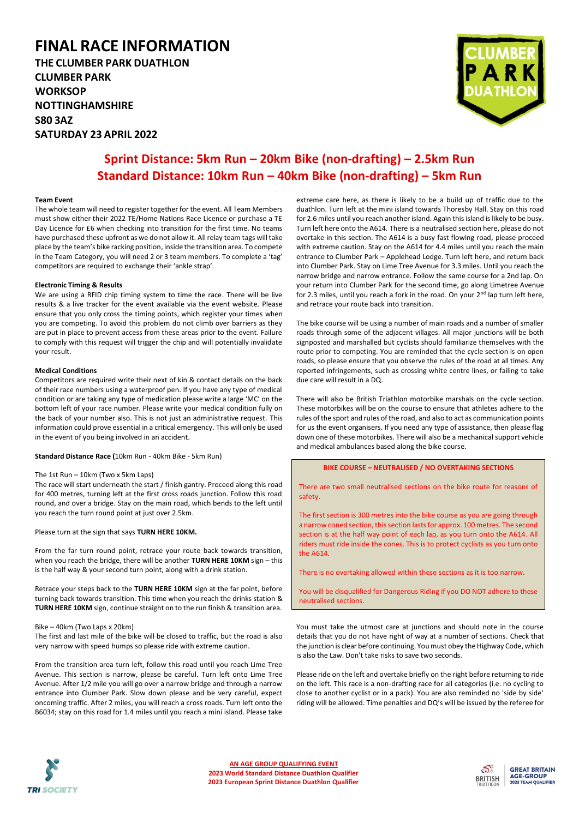# **FINAL RACE INFORMATION**

**THE CLUMBER PARK DUATHLON CLUMBER PARK WORKSOP NOTTINGHAMSHIRE S80 3AZ SATURDAY 23 APRIL 2022**



# **Sprint Distance: 5km Run – 20km Bike (non-drafting) – 2.5km Run Standard Distance: 10km Run – 40km Bike (non-drafting) – 5km Run**

### **Team Event**

The whole team will need to register together for the event. All Team Members must show either their 2022 TE/Home Nations Race Licence or purchase a TE Day Licence for £6 when checking into transition for the first time. No teams have purchased these upfront as we do not allow it. All relay team tags will take place by the team's bike racking position, inside the transition area. To compete in the Team Category, you will need 2 or 3 team members. To complete a 'tag' competitors are required to exchange their 'ankle strap'.

## **Electronic Timing & Results**

We are using a RFID chip timing system to time the race. There will be live results & a live tracker for the event available via the event website. Please ensure that you only cross the timing points, which register your times when you are competing. To avoid this problem do not climb over barriers as they are put in place to prevent access from these areas prior to the event. Failure to comply with this request will trigger the chip and will potentially invalidate your result.

#### **Medical Conditions**

Competitors are required write their next of kin & contact details on the back of their race numbers using a waterproof pen. If you have any type of medical condition or are taking any type of medication please write a large 'MC' on the bottom left of your race number. Please write your medical condition fully on the back of your number also. This is not just an administrative request. This information could prove essential in a critical emergency. This will only be used in the event of you being involved in an accident.

**Standard Distance Race (**10km Run - 40km Bike - 5km Run)

# The 1st Run – 10km (Two x 5km Laps)

The race will start underneath the start / finish gantry. Proceed along this road for 400 metres, turning left at the first cross roads junction. Follow this road round, and over a bridge. Stay on the main road, which bends to the left until you reach the turn round point at just over 2.5km.

Please turn at the sign that says **TURN HERE 10KM.**

From the far turn round point, retrace your route back towards transition, when you reach the bridge, there will be another **TURN HERE 10KM** sign – this is the half way & your second turn point, along with a drink station.

Retrace your steps back to the **TURN HERE 10KM** sign at the far point, before turning back towards transition. This time when you reach the drinks station & **TURN HERE 10KM** sign, continue straight on to the run finish & transition area.

#### Bike – 40km (Two Laps x 20km)

The first and last mile of the bike will be closed to traffic, but the road is also very narrow with speed humps so please ride with extreme caution.

From the transition area turn left, follow this road until you reach Lime Tree Avenue. This section is narrow, please be careful. Turn left onto Lime Tree Avenue. After 1/2 mile you will go over a narrow bridge and through a narrow entrance into Clumber Park. Slow down please and be very careful, expect oncoming traffic. After 2 miles, you will reach a cross roads. Turn left onto the B6034; stay on this road for 1.4 miles until you reach a mini island. Please take

extreme care here, as there is likely to be a build up of traffic due to the duathlon. Turn left at the mini island towards Thoresby Hall. Stay on this road for 2.6 miles until you reach another island. Again this island is likely to be busy. Turn left here onto the A614. There is a neutralised section here, please do not overtake in this section. The A614 is a busy fast flowing road, please proceed with extreme caution. Stay on the A614 for 4.4 miles until you reach the main entrance to Clumber Park – Applehead Lodge. Turn left here, and return back into Clumber Park. Stay on Lime Tree Avenue for 3.3 miles. Until you reach the narrow bridge and narrow entrance. Follow the same course for a 2nd lap. On your return into Clumber Park for the second time, go along Limetree Avenue for 2.3 miles, until you reach a fork in the road. On your 2<sup>nd</sup> lap turn left here, and retrace your route back into transition.

The bike course will be using a number of main roads and a number of smaller roads through some of the adjacent villages. All major junctions will be both signposted and marshalled but cyclists should familiarize themselves with the route prior to competing. You are reminded that the cycle section is on open roads, so please ensure that you observe the rules of the road at all times. Any reported infringements, such as crossing white centre lines, or failing to take due care will result in a DQ.

There will also be British Triathlon motorbike marshals on the cycle section. These motorbikes will be on the course to ensure that athletes adhere to the rules of the sport and rules of the road, and also to act as communication points for us the event organisers. If you need any type of assistance, then please flag down one of these motorbikes. There will also be a mechanical support vehicle and medical ambulances based along the bike course.

# **BIKE COURSE – NEUTRALISED / NO OVERTAKING SECTIONS**

There are two small neutralised sections on the bike route for reasons of safety.

The first section is 300 metres into the bike course as you are going through a narrow coned section, this section lasts for approx. 100 metres. The second section is at the half way point of each lap, as you turn onto the A614. All riders must ride inside the cones. This is to protect cyclists as you turn onto the A614.

There is no overtaking allowed within these sections as it is too narrow.

You will be disqualified for Dangerous Riding if you DO NOT adhere to these neutralised sections.

You must take the utmost care at junctions and should note in the course details that you do not have right of way at a number of sections. Check that the junction is clear before continuing. You must obey the Highway Code, which is also the Law. Don't take risks to save two seconds.

Please ride on the left and overtake briefly on the right before returning to ride on the left. This race is a non-drafting race for all categories (i.e. no cycling to close to another cyclist or in a pack). You are also reminded no 'side by side' riding will be allowed. Time penalties and DQ's will be issued by the referee for